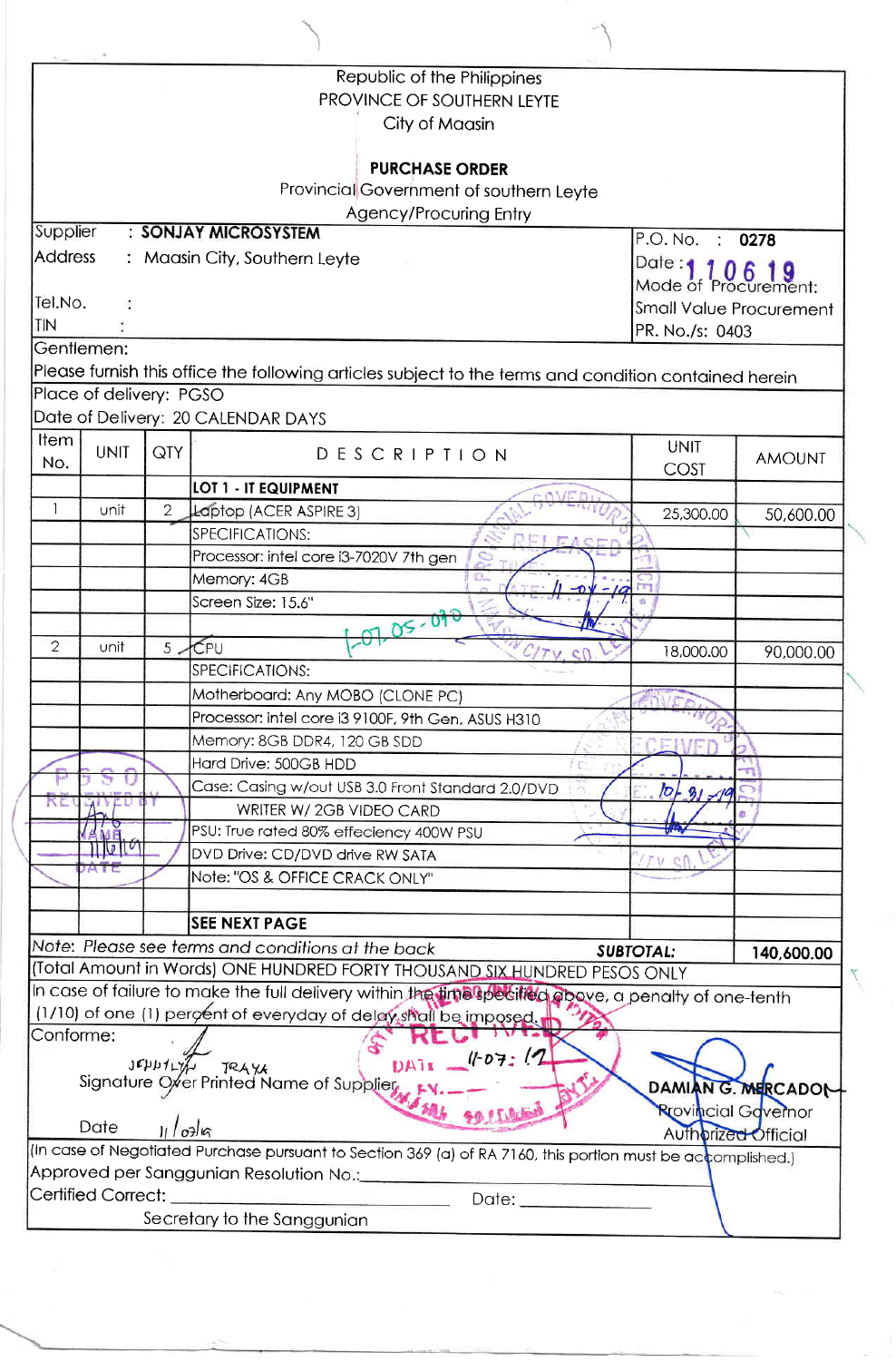|                                                                                                                                                        |                                                                  |                               | Republic of the Philippines                                                                                                                                                       |                      |                            |  |  |
|--------------------------------------------------------------------------------------------------------------------------------------------------------|------------------------------------------------------------------|-------------------------------|-----------------------------------------------------------------------------------------------------------------------------------------------------------------------------------|----------------------|----------------------------|--|--|
|                                                                                                                                                        |                                                                  |                               | PROVINCE OF SOUTHERN LEYTE                                                                                                                                                        |                      |                            |  |  |
|                                                                                                                                                        |                                                                  |                               | City of Maasin                                                                                                                                                                    |                      |                            |  |  |
|                                                                                                                                                        |                                                                  |                               |                                                                                                                                                                                   |                      |                            |  |  |
|                                                                                                                                                        |                                                                  |                               | <b>PURCHASE ORDER</b>                                                                                                                                                             |                      |                            |  |  |
|                                                                                                                                                        |                                                                  |                               | Provincial Government of southern Leyte                                                                                                                                           |                      |                            |  |  |
|                                                                                                                                                        |                                                                  |                               | Agency/Procuring Entry                                                                                                                                                            |                      |                            |  |  |
| Supplier                                                                                                                                               |                                                                  |                               | : SONJAY MICROSYSTEM                                                                                                                                                              | $P.O. No.$ :<br>0278 |                            |  |  |
| <b>Address</b>                                                                                                                                         |                                                                  | : Maasin City, Southern Leyte | Date: $\frac{1}{1}$<br>Mode of Procurement:                                                                                                                                       |                      |                            |  |  |
|                                                                                                                                                        |                                                                  |                               |                                                                                                                                                                                   |                      |                            |  |  |
| Tel.No.                                                                                                                                                | $\ddot{\cdot}$                                                   |                               | <b>Small Value Procurement</b>                                                                                                                                                    |                      |                            |  |  |
| TIN                                                                                                                                                    |                                                                  |                               | PR. No./s: 0403                                                                                                                                                                   |                      |                            |  |  |
|                                                                                                                                                        | Gentlemen:                                                       |                               |                                                                                                                                                                                   |                      |                            |  |  |
|                                                                                                                                                        |                                                                  |                               | Please furnish this office the following articles subject to the terms and condition contained herein                                                                             |                      |                            |  |  |
|                                                                                                                                                        | Place of delivery: PGSO                                          |                               |                                                                                                                                                                                   |                      |                            |  |  |
|                                                                                                                                                        |                                                                  |                               | Date of Delivery: 20 CALENDAR DAYS                                                                                                                                                |                      |                            |  |  |
| Item                                                                                                                                                   | <b>UNIT</b>                                                      | QTY.                          | DESCRIPTION                                                                                                                                                                       | <b>UNIT</b>          | <b>AMOUNT</b>              |  |  |
| No.                                                                                                                                                    |                                                                  |                               |                                                                                                                                                                                   | <b>COST</b>          |                            |  |  |
|                                                                                                                                                        |                                                                  |                               | LOT 1 - IT EQUIPMENT                                                                                                                                                              |                      |                            |  |  |
| 1                                                                                                                                                      | unit                                                             | $\overline{2}$                | Laptop (ACER ASPIRE 3)                                                                                                                                                            | 25,300.00            | 50,600.00                  |  |  |
|                                                                                                                                                        |                                                                  |                               | SPECIFICATIONS:<br>EACER                                                                                                                                                          |                      |                            |  |  |
|                                                                                                                                                        |                                                                  |                               | Processor: intel core i3-7020V 7th gen                                                                                                                                            |                      |                            |  |  |
|                                                                                                                                                        |                                                                  |                               | Memory: 4GB                                                                                                                                                                       |                      |                            |  |  |
|                                                                                                                                                        |                                                                  |                               | Screen Size: 15.6"                                                                                                                                                                |                      |                            |  |  |
|                                                                                                                                                        |                                                                  |                               | 07.05.076                                                                                                                                                                         |                      |                            |  |  |
| $\overline{2}$                                                                                                                                         | unit                                                             |                               | $5 - CPU$                                                                                                                                                                         | 18,000.00            | 90,000.00                  |  |  |
|                                                                                                                                                        |                                                                  |                               | SPECIFICATIONS:                                                                                                                                                                   |                      |                            |  |  |
|                                                                                                                                                        |                                                                  |                               | Motherboard: Any MOBO (CLONE PC)                                                                                                                                                  |                      |                            |  |  |
|                                                                                                                                                        |                                                                  |                               | Processor: intel core i3 9100F, 9th Gen, ASUS H310                                                                                                                                |                      |                            |  |  |
|                                                                                                                                                        |                                                                  |                               | Memory: 8GB DDR4, 120 GB SDD                                                                                                                                                      |                      |                            |  |  |
|                                                                                                                                                        |                                                                  |                               | Hard Drive: 500GB HDD                                                                                                                                                             |                      |                            |  |  |
| KE                                                                                                                                                     | $\mathbb{Z}$ $\mathbb{Z}$ $\mathbb{Z}$ $\mathbb{Z}$ $\mathbb{Z}$ |                               | Case: Casing w/out USB 3.0 Front Standard 2.0/DVD                                                                                                                                 | $10 + 91 - 19$       |                            |  |  |
|                                                                                                                                                        |                                                                  |                               | WRITER W/ 2GB VIDEO CARD                                                                                                                                                          |                      |                            |  |  |
|                                                                                                                                                        | $\frac{1}{2}$                                                    |                               | PSU: True rated 80% effeciency 400W PSU                                                                                                                                           |                      |                            |  |  |
|                                                                                                                                                        | <b>AIC</b>                                                       |                               | DVD Drive: CD/DVD drive RW SATA                                                                                                                                                   |                      |                            |  |  |
|                                                                                                                                                        |                                                                  |                               | Note: "OS & OFFICE CRACK ONLY"                                                                                                                                                    |                      |                            |  |  |
|                                                                                                                                                        |                                                                  |                               |                                                                                                                                                                                   |                      |                            |  |  |
|                                                                                                                                                        |                                                                  |                               | <b>SEE NEXT PAGE</b>                                                                                                                                                              |                      |                            |  |  |
|                                                                                                                                                        |                                                                  |                               | Note: Please see terms and conditions at the back                                                                                                                                 | <b>SUBTOTAL:</b>     | 140,600.00                 |  |  |
|                                                                                                                                                        |                                                                  |                               | (Total Amount in Words) ONE HUNDRED FORTY THOUSAND SIX HUNDRED PESOS ONLY<br>In case of failure to make the full delivery within the time specified above, a penalty of one-tenth |                      |                            |  |  |
|                                                                                                                                                        |                                                                  |                               | (1/10) of one (1) percent of everyday of delay shall be imposed.                                                                                                                  |                      |                            |  |  |
| Conforme:                                                                                                                                              |                                                                  |                               |                                                                                                                                                                                   |                      |                            |  |  |
|                                                                                                                                                        |                                                                  |                               | $11-07:12$                                                                                                                                                                        |                      |                            |  |  |
|                                                                                                                                                        |                                                                  |                               | JEHHALIA JRAYA                                                                                                                                                                    |                      |                            |  |  |
|                                                                                                                                                        |                                                                  |                               | JEPPTLY JRAYA<br>Signature Over Printed Name of Supplier                                                                                                                          |                      | DAMIAN G. MERCADOL         |  |  |
|                                                                                                                                                        | Date                                                             |                               | 0716                                                                                                                                                                              |                      | <b>Rrovincial Gavernor</b> |  |  |
|                                                                                                                                                        |                                                                  |                               |                                                                                                                                                                                   |                      | Authorized Official        |  |  |
| (In case of Negotiated Purchase pursuant to Section 369 (a) of RA 7160, this portion must be accomplished.)<br>Approved per Sanggunian Resolution No.: |                                                                  |                               |                                                                                                                                                                                   |                      |                            |  |  |
|                                                                                                                                                        | Certified Correct:                                               |                               | Date:                                                                                                                                                                             |                      |                            |  |  |
|                                                                                                                                                        |                                                                  |                               | Secretary to the Sanggunian                                                                                                                                                       |                      |                            |  |  |
|                                                                                                                                                        |                                                                  |                               |                                                                                                                                                                                   |                      |                            |  |  |